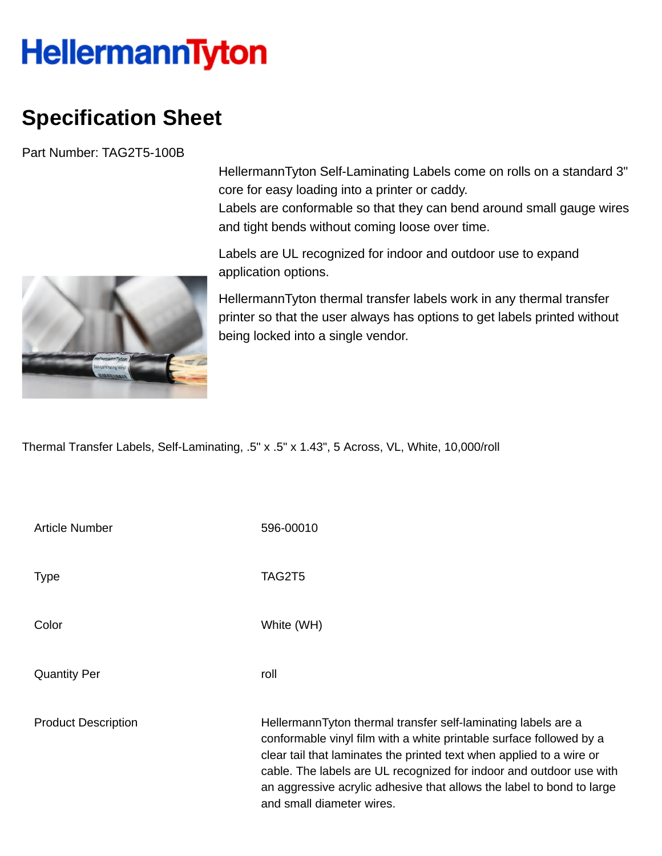## **HellermannTyton**

## **Specification Sheet**

Part Number: TAG2T5-100B

HellermannTyton Self-Laminating Labels come on rolls on a standard 3" core for easy loading into a printer or caddy. Labels are conformable so that they can bend around small gauge wires

and tight bends without coming loose over time.

Labels are UL recognized for indoor and outdoor use to expand application options.

HellermannTyton thermal transfer labels work in any thermal transfer printer so that the user always has options to get labels printed without being locked into a single vendor.

Thermal Transfer Labels, Self-Laminating, .5" x .5" x 1.43", 5 Across, VL, White, 10,000/roll

| <b>Article Number</b>      | 596-00010                                                                                                                                                                                                                                                                                                                                                                                 |
|----------------------------|-------------------------------------------------------------------------------------------------------------------------------------------------------------------------------------------------------------------------------------------------------------------------------------------------------------------------------------------------------------------------------------------|
| <b>Type</b>                | TAG2T5                                                                                                                                                                                                                                                                                                                                                                                    |
| Color                      | White (WH)                                                                                                                                                                                                                                                                                                                                                                                |
| <b>Quantity Per</b>        | roll                                                                                                                                                                                                                                                                                                                                                                                      |
| <b>Product Description</b> | HellermannTyton thermal transfer self-laminating labels are a<br>conformable vinyl film with a white printable surface followed by a<br>clear tail that laminates the printed text when applied to a wire or<br>cable. The labels are UL recognized for indoor and outdoor use with<br>an aggressive acrylic adhesive that allows the label to bond to large<br>and small diameter wires. |

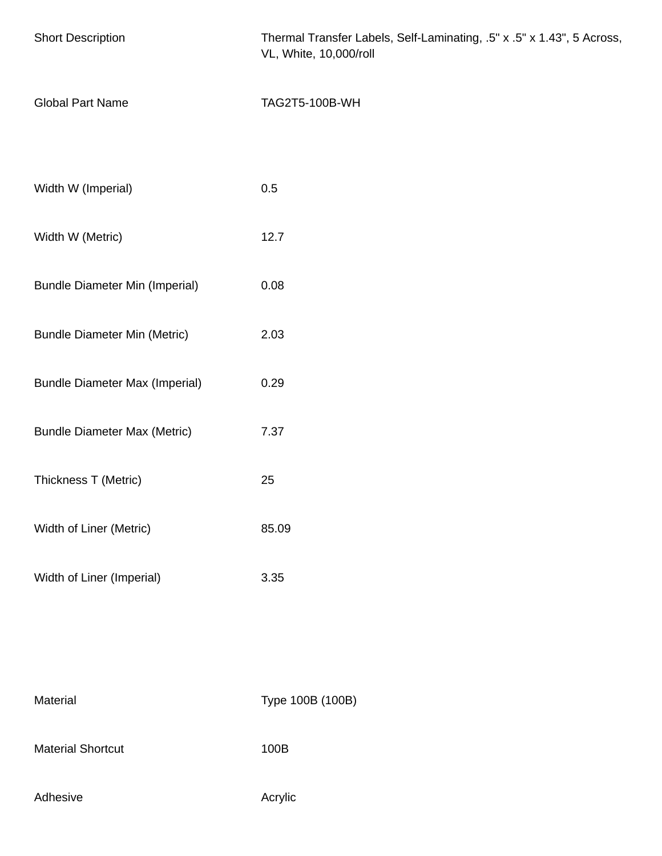| <b>Short Description</b>              | Thermal Transfer Labels, Self-Laminating, .5" x .5" x 1.43", 5 Across,<br>VL, White, 10,000/roll |
|---------------------------------------|--------------------------------------------------------------------------------------------------|
| <b>Global Part Name</b>               | TAG2T5-100B-WH                                                                                   |
|                                       |                                                                                                  |
| Width W (Imperial)                    | 0.5                                                                                              |
| Width W (Metric)                      | 12.7                                                                                             |
| <b>Bundle Diameter Min (Imperial)</b> | 0.08                                                                                             |
| <b>Bundle Diameter Min (Metric)</b>   | 2.03                                                                                             |
| <b>Bundle Diameter Max (Imperial)</b> | 0.29                                                                                             |
| <b>Bundle Diameter Max (Metric)</b>   | 7.37                                                                                             |
| Thickness T (Metric)                  | 25                                                                                               |
| Width of Liner (Metric)               | 85.09                                                                                            |
| Width of Liner (Imperial)             | 3.35                                                                                             |
|                                       |                                                                                                  |
|                                       |                                                                                                  |
| Material                              | Type 100B (100B)                                                                                 |

Material Shortcut 100B